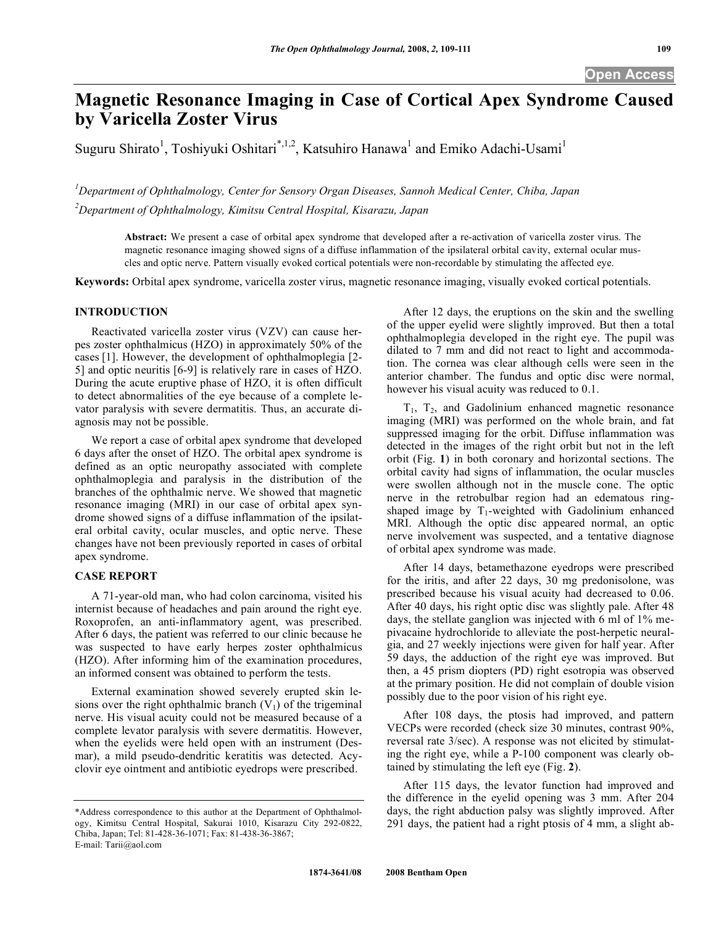# **Magnetic Resonance Imaging in Case of Cortical Apex Syndrome Caused by Varicella Zoster Virus**

Suguru Shirato<sup>1</sup>, Toshiyuki Oshitari<sup>\*,1,2</sup>, Katsuhiro Hanawa<sup>1</sup> and Emiko Adachi-Usami<sup>1</sup>

*1 Department of Ophthalmology, Center for Sensory Organ Diseases, Sannoh Medical Center, Chiba, Japan 2 Department of Ophthalmology, Kimitsu Central Hospital, Kisarazu, Japan* 

**Abstract:** We present a case of orbital apex syndrome that developed after a re-activation of varicella zoster virus. The magnetic resonance imaging showed signs of a diffuse inflammation of the ipsilateral orbital cavity, external ocular muscles and optic nerve. Pattern visually evoked cortical potentials were non-recordable by stimulating the affected eye.

**Keywords:** Orbital apex syndrome, varicella zoster virus, magnetic resonance imaging, visually evoked cortical potentials.

# **INTRODUCTION**

 Reactivated varicella zoster virus (VZV) can cause herpes zoster ophthalmicus (HZO) in approximately 50% of the cases [1]. However, the development of ophthalmoplegia [2- 5] and optic neuritis [6-9] is relatively rare in cases of HZO. During the acute eruptive phase of HZO, it is often difficult to detect abnormalities of the eye because of a complete levator paralysis with severe dermatitis. Thus, an accurate diagnosis may not be possible.

 We report a case of orbital apex syndrome that developed 6 days after the onset of HZO. The orbital apex syndrome is defined as an optic neuropathy associated with complete ophthalmoplegia and paralysis in the distribution of the branches of the ophthalmic nerve. We showed that magnetic resonance imaging (MRI) in our case of orbital apex syndrome showed signs of a diffuse inflammation of the ipsilateral orbital cavity, ocular muscles, and optic nerve. These changes have not been previously reported in cases of orbital apex syndrome.

#### **CASE REPORT**

 A 71-year-old man, who had colon carcinoma, visited his internist because of headaches and pain around the right eye. Roxoprofen, an anti-inflammatory agent, was prescribed. After 6 days, the patient was referred to our clinic because he was suspected to have early herpes zoster ophthalmicus (HZO). After informing him of the examination procedures, an informed consent was obtained to perform the tests.

 External examination showed severely erupted skin lesions over the right ophthalmic branch  $(V_1)$  of the trigeminal nerve. His visual acuity could not be measured because of a complete levator paralysis with severe dermatitis. However, when the eyelids were held open with an instrument (Desmar), a mild pseudo-dendritic keratitis was detected. Acyclovir eye ointment and antibiotic eyedrops were prescribed.

 After 12 days, the eruptions on the skin and the swelling of the upper eyelid were slightly improved. But then a total ophthalmoplegia developed in the right eye. The pupil was dilated to 7 mm and did not react to light and accommodation. The cornea was clear although cells were seen in the anterior chamber. The fundus and optic disc were normal, however his visual acuity was reduced to 0.1.

 $T_1$ ,  $T_2$ , and Gadolinium enhanced magnetic resonance imaging (MRI) was performed on the whole brain, and fat suppressed imaging for the orbit. Diffuse inflammation was detected in the images of the right orbit but not in the left orbit (Fig. **1**) in both coronary and horizontal sections. The orbital cavity had signs of inflammation, the ocular muscles were swollen although not in the muscle cone. The optic nerve in the retrobulbar region had an edematous ringshaped image by  $T_1$ -weighted with Gadolinium enhanced MRI. Although the optic disc appeared normal, an optic nerve involvement was suspected, and a tentative diagnose of orbital apex syndrome was made.

 After 14 days, betamethazone eyedrops were prescribed for the iritis, and after 22 days, 30 mg predonisolone, was prescribed because his visual acuity had decreased to 0.06. After 40 days, his right optic disc was slightly pale. After 48 days, the stellate ganglion was injected with 6 ml of 1% mepivacaine hydrochloride to alleviate the post-herpetic neuralgia, and 27 weekly injections were given for half year. After 59 days, the adduction of the right eye was improved. But then, a 45 prism diopters (PD) right esotropia was observed at the primary position. He did not complain of double vision possibly due to the poor vision of his right eye.

 After 108 days, the ptosis had improved, and pattern VECPs were recorded (check size 30 minutes, contrast 90%, reversal rate 3/sec). A response was not elicited by stimulating the right eye, while a P-100 component was clearly obtained by stimulating the left eye (Fig. **2**).

 After 115 days, the levator function had improved and the difference in the eyelid opening was 3 mm. After 204 days, the right abduction palsy was slightly improved. After 291 days, the patient had a right ptosis of 4 mm, a slight ab-

<sup>\*</sup>Address correspondence to this author at the Department of Ophthalmology, Kimitsu Central Hospital, Sakurai 1010, Kisarazu City 292-0822, Chiba, Japan; Tel: 81-428-36-1071; Fax: 81-438-36-3867; E-mail: Tarii@aol.com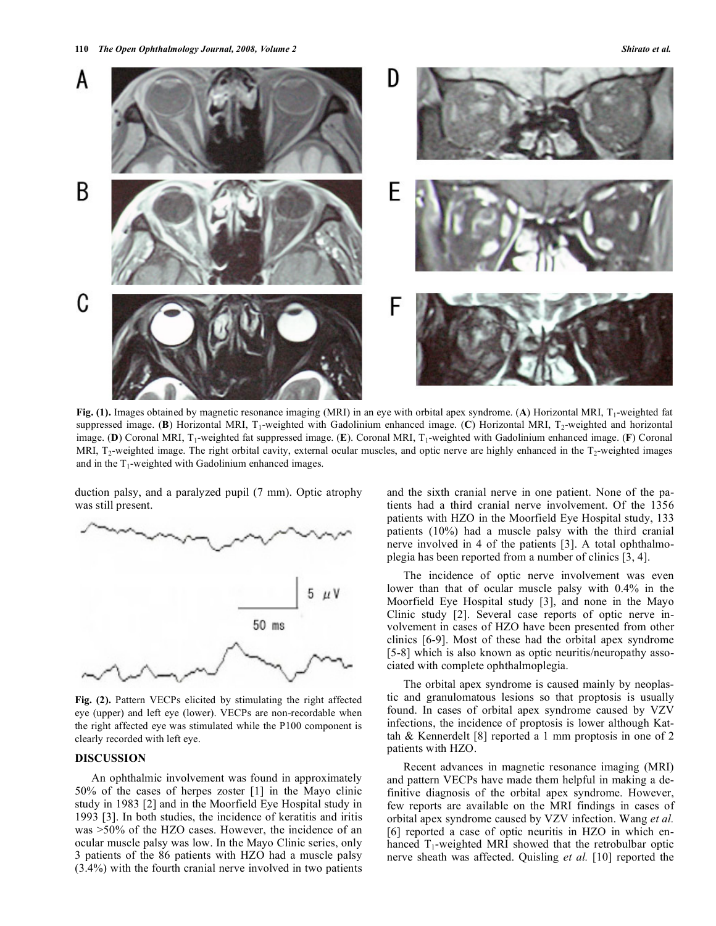

**Fig. (1).** Images obtained by magnetic resonance imaging (MRI) in an eye with orbital apex syndrome. (A) Horizontal MRI, T<sub>1</sub>-weighted fat suppressed image. (**B**) Horizontal MRI, T<sub>1</sub>-weighted with Gadolinium enhanced image. (**C**) Horizontal MRI, T<sub>2</sub>-weighted and horizontal image. **(D)** Coronal MRI, T<sub>1</sub>-weighted fat suppressed image. **(E)**. Coronal MRI, T<sub>1</sub>-weighted with Gadolinium enhanced image. **(F)** Coronal MRI,  $T_2$ -weighted image. The right orbital cavity, external ocular muscles, and optic nerve are highly enhanced in the  $T_2$ -weighted images and in the  $T_1$ -weighted with Gadolinium enhanced images.

duction palsy, and a paralyzed pupil (7 mm). Optic atrophy was still present.



**Fig. (2).** Pattern VECPs elicited by stimulating the right affected eye (upper) and left eye (lower). VECPs are non-recordable when the right affected eye was stimulated while the P100 component is clearly recorded with left eye.

# **DISCUSSION**

 An ophthalmic involvement was found in approximately 50% of the cases of herpes zoster [1] in the Mayo clinic study in 1983 [2] and in the Moorfield Eye Hospital study in 1993 [3]. In both studies, the incidence of keratitis and iritis was >50% of the HZO cases. However, the incidence of an ocular muscle palsy was low. In the Mayo Clinic series, only 3 patients of the 86 patients with HZO had a muscle palsy (3.4%) with the fourth cranial nerve involved in two patients and the sixth cranial nerve in one patient. None of the patients had a third cranial nerve involvement. Of the 1356 patients with HZO in the Moorfield Eye Hospital study, 133 patients (10%) had a muscle palsy with the third cranial nerve involved in 4 of the patients [3]. A total ophthalmoplegia has been reported from a number of clinics [3, 4].

 The incidence of optic nerve involvement was even lower than that of ocular muscle palsy with 0.4% in the Moorfield Eye Hospital study [3], and none in the Mayo Clinic study [2]. Several case reports of optic nerve involvement in cases of HZO have been presented from other clinics [6-9]. Most of these had the orbital apex syndrome [5-8] which is also known as optic neuritis/neuropathy associated with complete ophthalmoplegia.

 The orbital apex syndrome is caused mainly by neoplastic and granulomatous lesions so that proptosis is usually found. In cases of orbital apex syndrome caused by VZV infections, the incidence of proptosis is lower although Kattah & Kennerdelt [8] reported a 1 mm proptosis in one of 2 patients with HZO.

 Recent advances in magnetic resonance imaging (MRI) and pattern VECPs have made them helpful in making a definitive diagnosis of the orbital apex syndrome. However, few reports are available on the MRI findings in cases of orbital apex syndrome caused by VZV infection. Wang *et al.* [6] reported a case of optic neuritis in HZO in which enhanced  $T_1$ -weighted MRI showed that the retrobulbar optic nerve sheath was affected. Quisling *et al.* [10] reported the